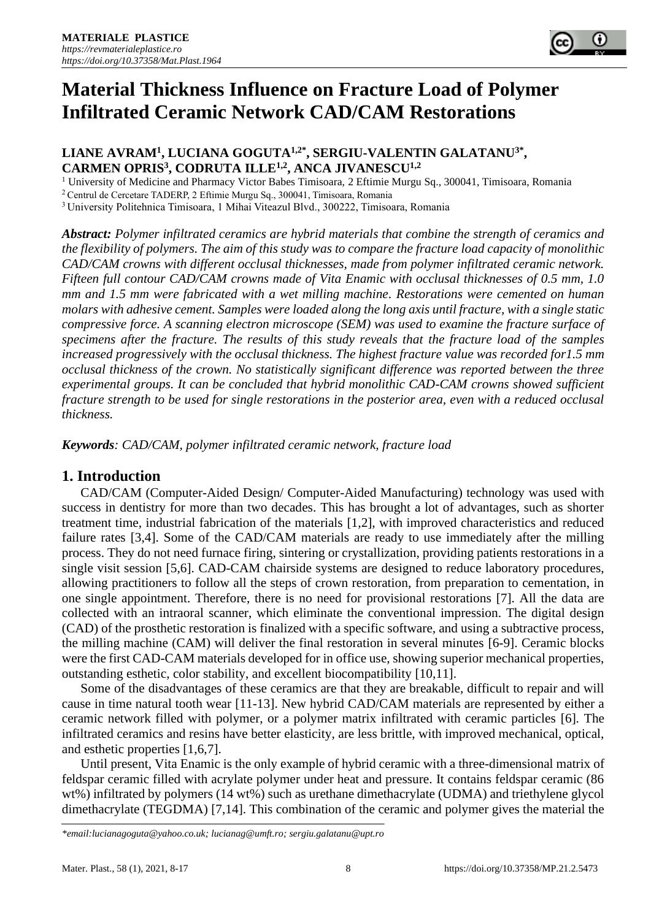

#### **LIANE AVRAM<sup>1</sup> , LUCIANA GOGUTA1,2\* , SERGIU-VALENTIN GALATANU3\* , CARMEN OPRIS 3 , CODRUTA ILLE1,2, ANCA JIVANESCU1,2**

<sup>1</sup> University of Medicine and Pharmacy Victor Babes Timisoara, 2 Eftimie Murgu Sq., 300041, Timisoara, Romania

<sup>2</sup> Centrul de Cercetare TADERP, 2 Eftimie Murgu Sq., 300041, Timisoara, Romania

<sup>3</sup> University Politehnica Timisoara, 1 Mihai Viteazul Blvd., 300222, Timisoara, Romania

*Abstract: Polymer infiltrated ceramics are hybrid materials that combine the strength of ceramics and the flexibility of polymers. The aim of this study was to compare the fracture load capacity of monolithic CAD/CAM crowns with different occlusal thicknesses, made from polymer infiltrated ceramic network. Fifteen full contour CAD/CAM crowns made of Vita Enamic with occlusal thicknesses of 0.5 mm, 1.0 mm and 1.5 mm were fabricated with a wet milling machine. Restorations were cemented on human molars with adhesive cement. Samples were loaded along the long axis until fracture, with a single static compressive force. A scanning electron microscope (SEM) was used to examine the fracture surface of specimens after the fracture. The results of this study reveals that the fracture load of the samples increased progressively with the occlusal thickness. The highest fracture value was recorded for1.5 mm occlusal thickness of the crown. No statistically significant difference was reported between the three experimental groups. It can be concluded that hybrid monolithic CAD-CAM crowns showed sufficient fracture strength to be used for single restorations in the posterior area, even with a reduced occlusal thickness.*

*Keywords: CAD/CAM, polymer infiltrated ceramic network, fracture load*

## **1. Introduction**

CAD/CAM (Computer-Aided Design/ Computer-Aided Manufacturing) technology was used with success in dentistry for more than two decades. This has brought a lot of advantages, such as shorter treatment time, industrial fabrication of the materials [1,2], with improved characteristics and reduced failure rates [3,4]. Some of the CAD/CAM materials are ready to use immediately after the milling process. They do not need furnace firing, sintering or crystallization, providing patients restorations in a single visit session [5,6]. CAD-CAM chairside systems are designed to reduce laboratory procedures, allowing practitioners to follow all the steps of crown restoration, from preparation to cementation, in one single appointment. Therefore, there is no need for provisional restorations [7]. All the data are collected with an intraoral scanner, which eliminate the conventional impression. The digital design (CAD) of the prosthetic restoration is finalized with a specific software, and using a subtractive process, the milling machine (CAM) will deliver the final restoration in several minutes [6-9]. Ceramic blocks were the first CAD-CAM materials developed for in office use, showing superior mechanical properties, outstanding esthetic, color stability, and excellent biocompatibility [10,11].

Some of the disadvantages of these ceramics are that they are breakable, difficult to repair and will cause in time natural tooth wear [11-13]. New hybrid CAD/CAM materials are represented by either a ceramic network filled with polymer, or a polymer matrix infiltrated with ceramic particles [6]. The infiltrated ceramics and resins have better elasticity, are less brittle, with improved mechanical, optical, and esthetic properties [1,6,7].

Until present, Vita Enamic is the only example of hybrid ceramic with a three-dimensional matrix of feldspar ceramic filled with acrylate polymer under heat and pressure. It contains feldspar ceramic (86 wt%) infiltrated by polymers (14 wt%) such as urethane dimethacrylate (UDMA) and triethylene glycol dimethacrylate (TEGDMA) [7,14]. This combination of the ceramic and polymer gives the material the

*<sup>\*</sup>email[:lucianagoguta@yahoo.co.uk;](mailto:lucianagoguta@yahoo.co.uk) [lucianag@umft.ro;](mailto:lucianag@umft.ro) [sergiu.galatanu@upt.ro](mailto:sergiu.galatanu@upt.ro)*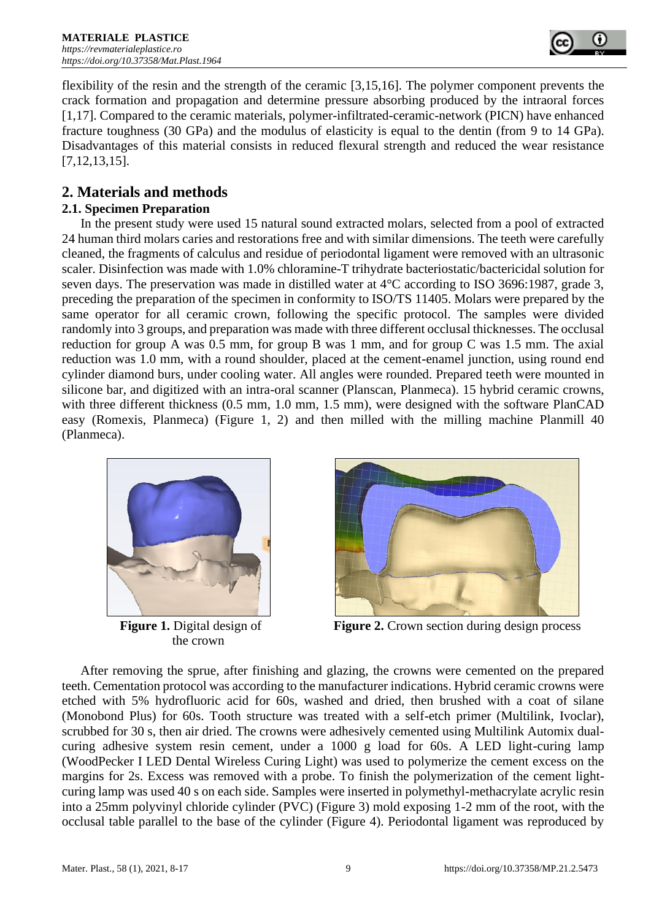

flexibility of the resin and the strength of the ceramic [3,15,16]. The polymer component prevents the crack formation and propagation and determine pressure absorbing produced by the intraoral forces [1,17]. Compared to the ceramic materials, polymer-infiltrated-ceramic-network (PICN) have enhanced fracture toughness (30 GPa) and the modulus of elasticity is equal to the dentin (from 9 to 14 GPa). Disadvantages of this material consists in reduced flexural strength and reduced the wear resistance [7,12,13,15].

# **2. Materials and methods**

## **2.1. Specimen Preparation**

In the present study were used 15 natural sound extracted molars, selected from a pool of extracted 24 human third molars caries and restorations free and with similar dimensions. The teeth were carefully cleaned, the fragments of calculus and residue of periodontal ligament were removed with an ultrasonic scaler. Disinfection was made with 1.0% chloramine-T trihydrate bacteriostatic/bactericidal solution for seven days. The preservation was made in distilled water at 4°C according to ISO 3696:1987, grade 3, preceding the preparation of the specimen in conformity to ISO/TS 11405. Molars were prepared by the same operator for all ceramic crown, following the specific protocol. The samples were divided randomly into 3 groups, and preparation was made with three different occlusal thicknesses. The occlusal reduction for group A was 0.5 mm, for group B was 1 mm, and for group C was 1.5 mm. The axial reduction was 1.0 mm, with a round shoulder, placed at the cement-enamel junction, using round end cylinder diamond burs, under cooling water. All angles were rounded. Prepared teeth were mounted in silicone bar, and digitized with an intra-oral scanner (Planscan, Planmeca). 15 hybrid ceramic crowns, with three different thickness (0.5 mm, 1.0 mm, 1.5 mm), were designed with the software PlanCAD easy (Romexis, Planmeca) (Figure 1, 2) and then milled with the milling machine Planmill 40 (Planmeca).



the crown



**Figure 1.** Digital design of **Figure 2.** Crown section during design process

After removing the sprue, after finishing and glazing, the crowns were cemented on the prepared teeth. Cementation protocol was according to the manufacturer indications. Hybrid ceramic crowns were etched with 5% hydrofluoric acid for 60s, washed and dried, then brushed with a coat of silane (Monobond Plus) for 60s. Tooth structure was treated with a self-etch primer (Multilink, Ivoclar), scrubbed for 30 s, then air dried. The crowns were adhesively cemented using Multilink Automix dualcuring adhesive system resin cement, under a 1000 g load for 60s. A LED light-curing lamp (WoodPecker I LED Dental Wireless Curing Light) was used to polymerize the cement excess on the margins for 2s. Excess was removed with a probe. To finish the polymerization of the cement lightcuring lamp was used 40 s on each side. Samples were inserted in polymethyl-methacrylate acrylic resin into a 25mm polyvinyl chloride cylinder (PVC) (Figure 3) mold exposing 1-2 mm of the root, with the occlusal table parallel to the base of the cylinder (Figure 4). Periodontal ligament was reproduced by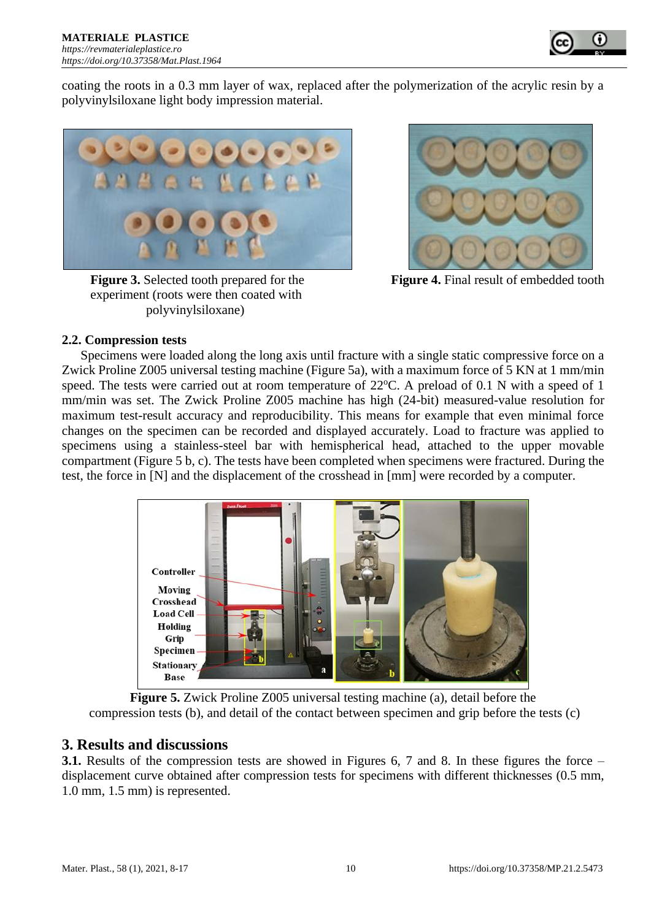

coating the roots in a 0.3 mm layer of wax, replaced after the polymerization of the acrylic resin by a polyvinylsiloxane light body impression material.



**Figure 3.** Selected tooth prepared for the **Figure 4.** Final result of embedded tooth experiment (roots were then coated with polyvinylsiloxane)



#### **2.2. Compression tests**

Specimens were loaded along the long axis until fracture with a single static compressive force on a Zwick Proline Z005 universal testing machine (Figure 5a), with a maximum force of 5 KN at 1 mm/min speed. The tests were carried out at room temperature of  $22^{\circ}$ C. A preload of 0.1 N with a speed of 1 mm/min was set. The Zwick Proline Z005 machine has high (24-bit) measured-value resolution for maximum test-result accuracy and reproducibility. This means for example that even minimal force changes on the specimen can be recorded and displayed accurately. Load to fracture was applied to specimens using a stainless-steel bar with hemispherical head, attached to the upper movable compartment (Figure 5 b, c). The tests have been completed when specimens were fractured. During the test, the force in [N] and the displacement of the crosshead in [mm] were recorded by a computer.



**Figure 5.** Zwick Proline Z005 universal testing machine (a), detail before the compression tests (b), and detail of the contact between specimen and grip before the tests (c)

## **3. Results and discussions**

**3.1.** Results of the compression tests are showed in Figures 6, 7 and 8. In these figures the force – displacement curve obtained after compression tests for specimens with different thicknesses (0.5 mm, 1.0 mm, 1.5 mm) is represented.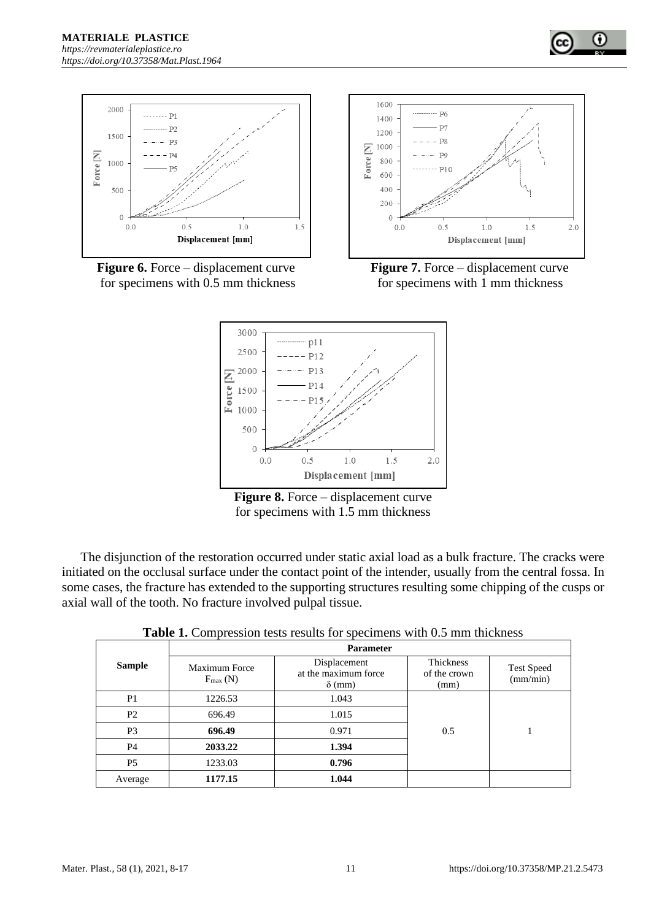

**Figure 6.** Force – displacement curve **Figure 7.** Force – displacement curve for specimens with 0.5 mm thickness for specimens with 1 mm thickness





**Figure 8.** Force – displacement curve for specimens with 1.5 mm thickness

The disjunction of the restoration occurred under static axial load as a bulk fracture. The cracks were initiated on the occlusal surface under the contact point of the intender, usually from the central fossa. In some cases, the fracture has extended to the supporting structures resulting some chipping of the cusps or axial wall of the tooth. No fracture involved pulpal tissue.

| <b>Table 1.</b> Compression tests results for specimens with 0.5 mm thickness |  |
|-------------------------------------------------------------------------------|--|
|-------------------------------------------------------------------------------|--|

|                | <b>Parameter</b>                     |                                                       |                                   |                               |
|----------------|--------------------------------------|-------------------------------------------------------|-----------------------------------|-------------------------------|
| <b>Sample</b>  | Maximum Force<br>$F_{\text{max}}(N)$ | Displacement<br>at the maximum force<br>$\delta$ (mm) | Thickness<br>of the crown<br>(mm) | <b>Test Speed</b><br>(mm/min) |
| P <sub>1</sub> | 1226.53                              | 1.043                                                 | 0.5                               |                               |
| P <sub>2</sub> | 696.49                               | 1.015                                                 |                                   |                               |
| P <sub>3</sub> | 696.49                               | 0.971                                                 |                                   |                               |
| P <sub>4</sub> | 2033.22                              | 1.394                                                 |                                   |                               |
| P <sub>5</sub> | 1233.03                              | 0.796                                                 |                                   |                               |
| Average        | 1177.15                              | 1.044                                                 |                                   |                               |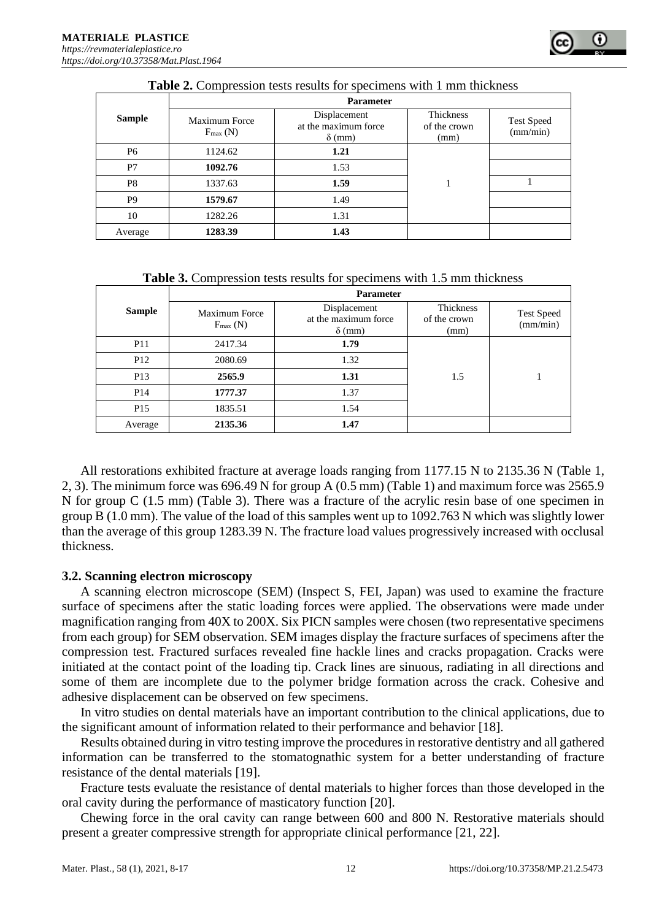| <b>Table 2.</b> Compression results for specificity with 1 mm unckness |                                      |                                                       |                                   |                               |
|------------------------------------------------------------------------|--------------------------------------|-------------------------------------------------------|-----------------------------------|-------------------------------|
|                                                                        | <b>Parameter</b>                     |                                                       |                                   |                               |
| <b>Sample</b>                                                          | Maximum Force<br>$F_{\text{max}}(N)$ | Displacement<br>at the maximum force<br>$\delta$ (mm) | Thickness<br>of the crown<br>(mm) | <b>Test Speed</b><br>(mm/min) |
| <b>P6</b>                                                              | 1124.62                              | 1.21                                                  |                                   |                               |
| P7                                                                     | 1092.76                              | 1.53                                                  |                                   |                               |
| P8                                                                     | 1337.63                              | 1.59                                                  |                                   |                               |
| P9                                                                     | 1579.67                              | 1.49                                                  |                                   |                               |
| 10                                                                     | 1282.26                              | 1.31                                                  |                                   |                               |
| Average                                                                | 1283.39                              | 1.43                                                  |                                   |                               |

**Table 2.** Compression tests results for specimens with 1 mm thickness

| <b>Table 3.</b> Compression tests results for specimens with 1.5 mm thickness |  |  |
|-------------------------------------------------------------------------------|--|--|
|-------------------------------------------------------------------------------|--|--|

|                 | <b>Parameter</b>                     |                                                       |                                   |                               |
|-----------------|--------------------------------------|-------------------------------------------------------|-----------------------------------|-------------------------------|
| <b>Sample</b>   | Maximum Force<br>$F_{\text{max}}(N)$ | Displacement<br>at the maximum force<br>$\delta$ (mm) | Thickness<br>of the crown<br>(mm) | <b>Test Speed</b><br>(mm/min) |
| <b>P11</b>      | 2417.34                              | 1.79                                                  |                                   |                               |
| P <sub>12</sub> | 2080.69                              | 1.32                                                  | 1.5                               |                               |
| P <sub>13</sub> | 2565.9                               | 1.31                                                  |                                   |                               |
| P <sub>14</sub> | 1777.37                              | 1.37                                                  |                                   |                               |
| P <sub>15</sub> | 1835.51                              | 1.54                                                  |                                   |                               |
| Average         | 2135.36                              | 1.47                                                  |                                   |                               |

All restorations exhibited fracture at average loads ranging from 1177.15 N to 2135.36 N (Table 1, 2, 3). The minimum force was 696.49 N for group A (0.5 mm) (Table 1) and maximum force was 2565.9 N for group C (1.5 mm) (Table 3). There was a fracture of the acrylic resin base of one specimen in group B (1.0 mm). The value of the load of this samples went up to 1092.763 N which was slightly lower than the average of this group 1283.39 N. The fracture load values progressively increased with occlusal thickness.

#### **3.2. Scanning electron microscopy**

A scanning electron microscope (SEM) (Inspect S, FEI, Japan) was used to examine the fracture surface of specimens after the static loading forces were applied. The observations were made under magnification ranging from 40X to 200X. Six PICN samples were chosen (two representative specimens from each group) for SEM observation. SEM images display the fracture surfaces of specimens after the compression test. Fractured surfaces revealed fine hackle lines and cracks propagation. Cracks were initiated at the contact point of the loading tip. Crack lines are sinuous, radiating in all directions and some of them are incomplete due to the polymer bridge formation across the crack. Cohesive and adhesive displacement can be observed on few specimens.

In vitro studies on dental materials have an important contribution to the clinical applications, due to the significant amount of information related to their performance and behavior [18].

Results obtained during in vitro testing improve the procedures in restorative dentistry and all gathered information can be transferred to the stomatognathic system for a better understanding of fracture resistance of the dental materials [19].

Fracture tests evaluate the resistance of dental materials to higher forces than those developed in the oral cavity during the performance of masticatory function [20].

Chewing force in the oral cavity can range between 600 and 800 N. Restorative materials should present a greater compressive strength for appropriate clinical performance [21, 22].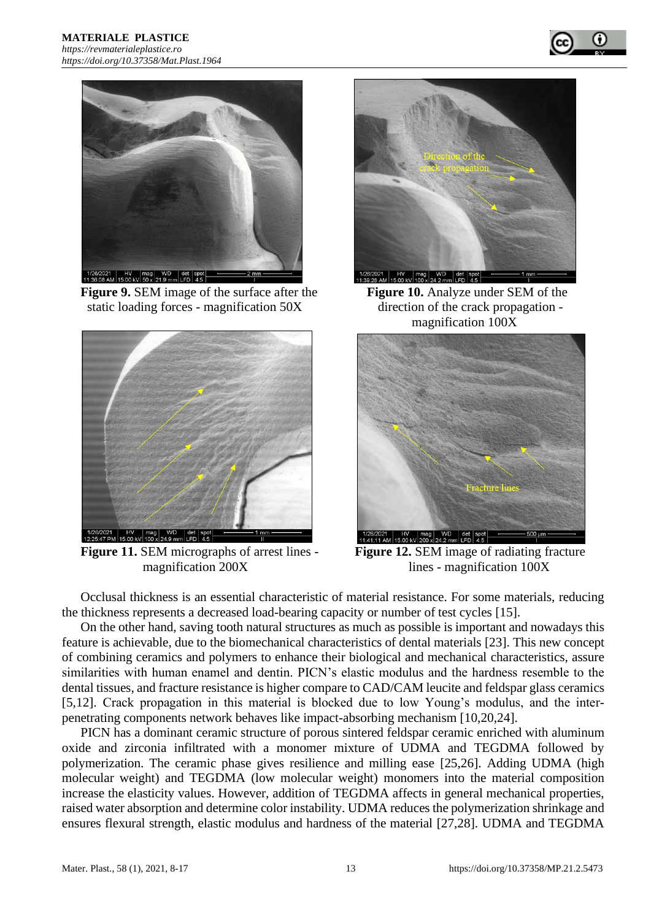



**Figure 9.** SEM image of the surface after the **Figure 10.** Analyze under SEM of the static loading forces - magnification 50X direction of the crack propagation -



**Figure 11.** SEM micrographs of arrest lines - **Figure 12.** SEM image of radiating fracture



magnification 100X



magnification 200X lines - magnification 100X

Occlusal thickness is an essential characteristic of material resistance. For some materials, reducing the thickness represents a decreased load-bearing capacity or number of test cycles [15].

On the other hand, saving tooth natural structures as much as possible is important and nowadays this feature is achievable, due to the biomechanical characteristics of dental materials [23]. This new concept of combining ceramics and polymers to enhance their biological and mechanical characteristics, assure similarities with human enamel and dentin. PICN's elastic modulus and the hardness resemble to the dental tissues, and fracture resistance is higher compare to CAD/CAM leucite and feldspar glass ceramics [5,12]. Crack propagation in this material is blocked due to low Young's modulus, and the interpenetrating components network behaves like impact-absorbing mechanism [10,20,24].

PICN has a dominant ceramic structure of porous sintered feldspar ceramic enriched with aluminum oxide and zirconia infiltrated with a monomer mixture of UDMA and TEGDMA followed by polymerization. The ceramic phase gives resilience and milling ease [25,26]. Adding UDMA (high molecular weight) and TEGDMA (low molecular weight) monomers into the material composition increase the elasticity values. However, addition of TEGDMA affects in general mechanical properties, raised water absorption and determine color instability. UDMA reduces the polymerization shrinkage and ensures flexural strength, elastic modulus and hardness of the material [27,28]. UDMA and TEGDMA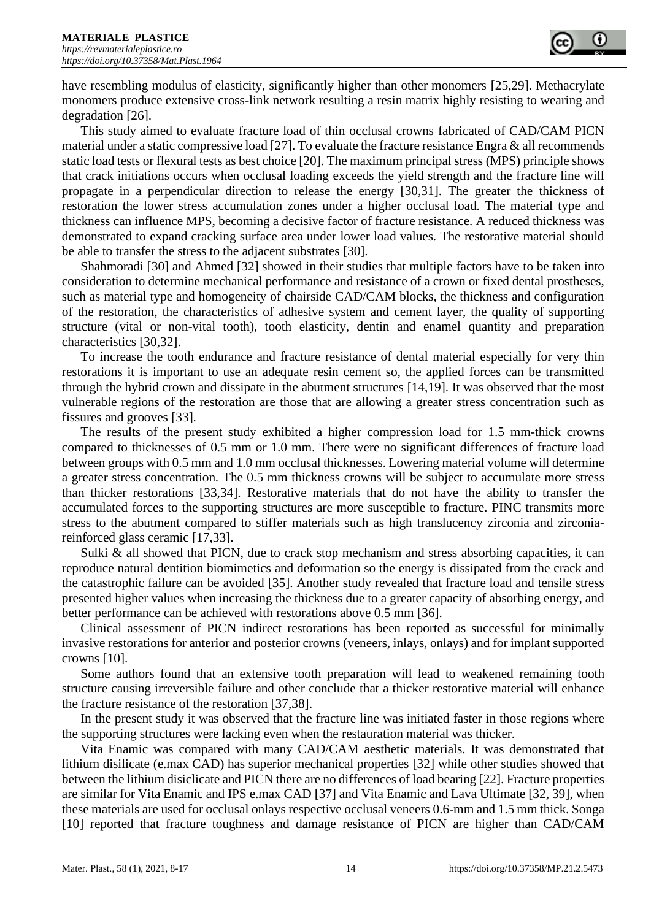have resembling modulus of elasticity, significantly higher than other monomers [25,29]. Methacrylate monomers produce extensive cross-link network resulting a resin matrix highly resisting to wearing and degradation [26].

This study aimed to evaluate fracture load of thin occlusal crowns fabricated of CAD/CAM PICN material under a static compressive load [27]. To evaluate the fracture resistance Engra & all recommends static load tests or flexural tests as best choice [20]. The maximum principal stress (MPS) principle shows that crack initiations occurs when occlusal loading exceeds the yield strength and the fracture line will propagate in a perpendicular direction to release the energy [30,31]. The greater the thickness of restoration the lower stress accumulation zones under a higher occlusal load. The material type and thickness can influence MPS, becoming a decisive factor of fracture resistance. A reduced thickness was demonstrated to expand cracking surface area under lower load values. The restorative material should be able to transfer the stress to the adjacent substrates [30].

Shahmoradi [30] and Ahmed [32] showed in their studies that multiple factors have to be taken into consideration to determine mechanical performance and resistance of a crown or fixed dental prostheses, such as material type and homogeneity of chairside CAD/CAM blocks, the thickness and configuration of the restoration, the characteristics of adhesive system and cement layer, the quality of supporting structure (vital or non-vital tooth), tooth elasticity, dentin and enamel quantity and preparation characteristics [30,32].

To increase the tooth endurance and fracture resistance of dental material especially for very thin restorations it is important to use an adequate resin cement so, the applied forces can be transmitted through the hybrid crown and dissipate in the abutment structures [14,19]. It was observed that the most vulnerable regions of the restoration are those that are allowing a greater stress concentration such as fissures and grooves [33].

The results of the present study exhibited a higher compression load for 1.5 mm-thick crowns compared to thicknesses of 0.5 mm or 1.0 mm. There were no significant differences of fracture load between groups with 0.5 mm and 1.0 mm occlusal thicknesses. Lowering material volume will determine a greater stress concentration. The 0.5 mm thickness crowns will be subject to accumulate more stress than thicker restorations [33,34]. Restorative materials that do not have the ability to transfer the accumulated forces to the supporting structures are more susceptible to fracture. PINC transmits more stress to the abutment compared to stiffer materials such as high translucency zirconia and zirconiareinforced glass ceramic [17,33].

Sulki  $\&$  all showed that PICN, due to crack stop mechanism and stress absorbing capacities, it can reproduce natural dentition biomimetics and deformation so the energy is dissipated from the crack and the catastrophic failure can be avoided [35]. Another study revealed that fracture load and tensile stress presented higher values when increasing the thickness due to a greater capacity of absorbing energy, and better performance can be achieved with restorations above 0.5 mm [36].

Clinical assessment of PICN indirect restorations has been reported as successful for minimally invasive restorations for anterior and posterior crowns (veneers, inlays, onlays) and for implant supported crowns [10].

Some authors found that an extensive tooth preparation will lead to weakened remaining tooth structure causing irreversible failure and other conclude that a thicker restorative material will enhance the fracture resistance of the restoration [37,38].

In the present study it was observed that the fracture line was initiated faster in those regions where the supporting structures were lacking even when the restauration material was thicker.

Vita Enamic was compared with many CAD/CAM aesthetic materials. It was demonstrated that lithium disilicate (e.max CAD) has superior mechanical properties [32] while other studies showed that between the lithium disiclicate and PICN there are no differences of load bearing [22]. Fracture properties are similar for Vita Enamic and IPS e.max CAD [37] and Vita Enamic and Lava Ultimate [32, 39], when these materials are used for occlusal onlays respective occlusal veneers 0.6-mm and 1.5 mm thick. Songa [10] reported that fracture toughness and damage resistance of PICN are higher than CAD/CAM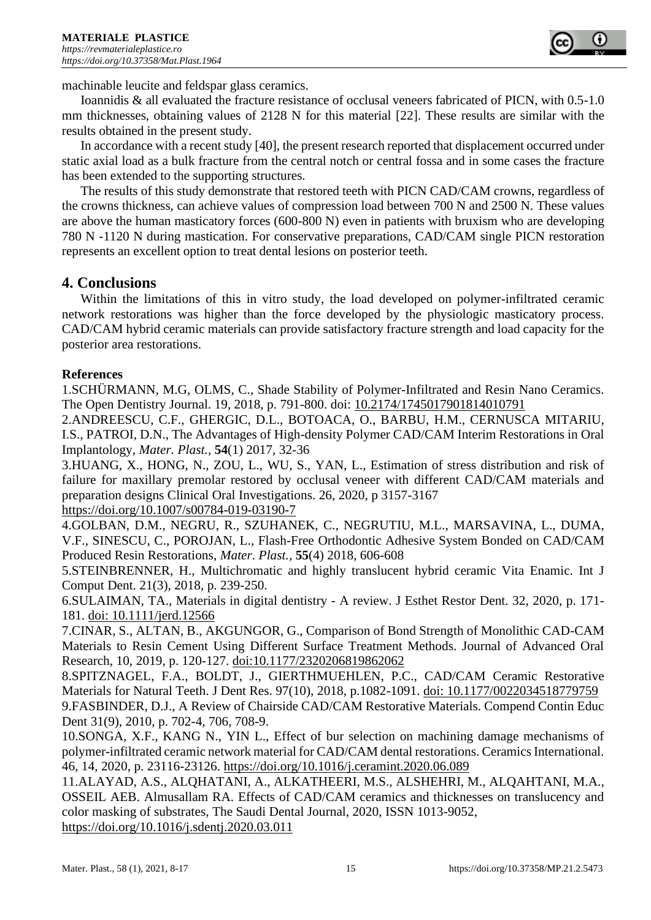

machinable leucite and feldspar glass ceramics.

Ioannidis & all evaluated the fracture resistance of occlusal veneers fabricated of PICN, with 0.5-1.0 mm thicknesses, obtaining values of 2128 N for this material [22]. These results are similar with the results obtained in the present study.

In accordance with a recent study [40], the present research reported that displacement occurred under static axial load as a bulk fracture from the central notch or central fossa and in some cases the fracture has been extended to the supporting structures.

The results of this study demonstrate that restored teeth with PICN CAD/CAM crowns, regardless of the crowns thickness, can achieve values of compression load between 700 N and 2500 N. These values are above the human masticatory forces (600-800 N) even in patients with bruxism who are developing 780 N -1120 N during mastication. For conservative preparations, CAD/CAM single PICN restoration represents an excellent option to treat dental lesions on posterior teeth.

## **4. Conclusions**

Within the limitations of this in vitro study, the load developed on polymer-infiltrated ceramic network restorations was higher than the force developed by the physiologic masticatory process. CAD/CAM hybrid ceramic materials can provide satisfactory fracture strength and load capacity for the posterior area restorations.

## **References**

1.SCHÜRMANN, M.G, OLMS, C., Shade Stability of Polymer-Infiltrated and Resin Nano Ceramics. The Open Dentistry Journal. 19, 2018, p. 791-800. doi: [10.2174/1745017901814010791](https://dx.doi.org/10.2174%2F1745017901814010791)

2.ANDREESCU, C.F., GHERGIC, D.L., BOTOACA, O., BARBU, H.M., CERNUSCA MITARIU, I.S., PATROI, D.N., The Advantages of High-density Polymer CAD/CAM Interim Restorations in Oral Implantology, *Mater. Plast.,* **54**(1) 2017, 32-36

3.HUANG, X., HONG, N., ZOU, L., WU, S., YAN, L., Estimation of stress distribution and risk of failure for maxillary premolar restored by occlusal veneer with different CAD/CAM materials and preparation designs Clinical Oral Investigations. 26, 2020, p 3157-3167 <https://doi.org/10.1007/s00784-019-03190-7>

4.GOLBAN, D.M., NEGRU, R., SZUHANEK, C., NEGRUTIU, M.L., MARSAVINA, L., DUMA, V.F., SINESCU, C., POROJAN, L., Flash-Free Orthodontic Adhesive System Bonded on CAD/CAM Produced Resin Restorations, *Mater. Plast.,* **55**(4) 2018, 606-608

5.STEINBRENNER, H., Multichromatic and highly translucent hybrid ceramic Vita Enamic. Int J Comput Dent. 21(3), 2018, p. 239-250.

6.SULAIMAN, TA., Materials in digital dentistry - A review. J Esthet Restor Dent. 32, 2020, p. 171- 181. doi: 10.1111/jerd.12566

7.CINAR, S., ALTAN, B., AKGUNGOR, G., Comparison of Bond Strength of Monolithic CAD-CAM Materials to Resin Cement Using Different Surface Treatment Methods. Journal of Advanced Oral Research, 10, 2019, p. 120-127. doi:10.1177/2320206819862062

8.SPITZNAGEL, F.A., BOLDT, J., GIERTHMUEHLEN, P.C., CAD/CAM Ceramic Restorative Materials for Natural Teeth. J Dent Res. 97(10), 2018, p.1082-1091. doi: 10.1177/0022034518779759 9.FASBINDER, D.J., A Review of Chairside CAD/CAM Restorative Materials. Compend Contin Educ Dent 31(9), 2010, p. 702-4, 706, 708-9.

10.SONGA, X.F., KANG N., YIN L., Effect of bur selection on machining damage mechanisms of polymer-infiltrated ceramic network material for CAD/CAM dental restorations. Ceramics International. 46, 14, 2020, p. 23116-23126. https://doi.org/10.1016/j.ceramint.2020.06.089

11.ALAYAD, A.S., ALQHATANI, A., ALKATHEERI, M.S., ALSHEHRI, M., ALQAHTANI, M.A., OSSEIL AEB. Almusallam RA. Effects of CAD/CAM ceramics and thicknesses on translucency and color masking of substrates, The Saudi Dental Journal, 2020, ISSN 1013-9052, https://doi.org/10.1016/j.sdentj.2020.03.011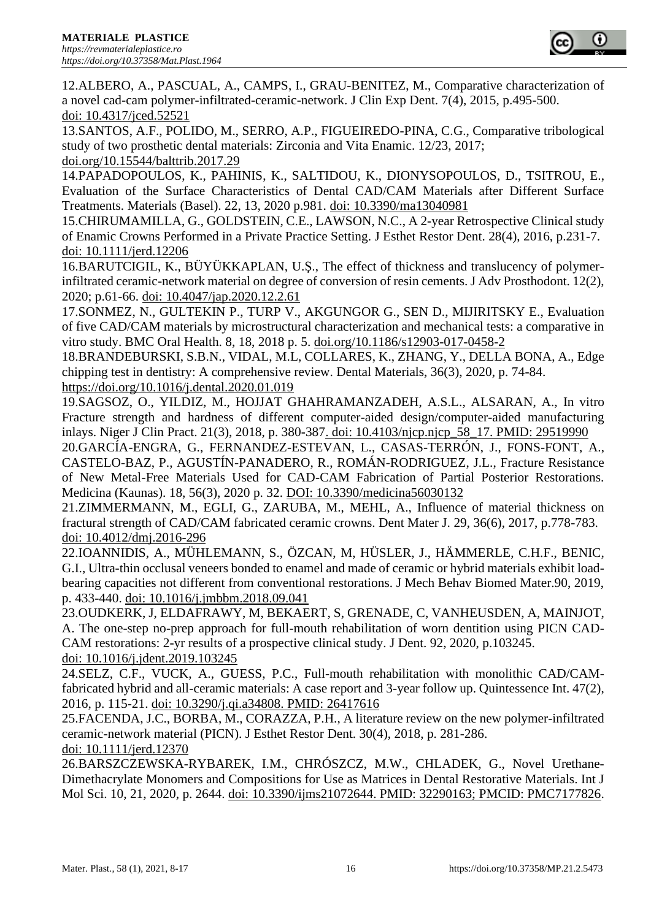12.ALBERO, A., PASCUAL, A., CAMPS, I., GRAU-BENITEZ, M., Comparative characterization of a novel cad-cam polymer-infiltrated-ceramic-network. J Clin Exp Dent. 7(4), 2015, p.495-500. doi: 10.4317/jced.52521

13.SANTOS, A.F., POLIDO, M., SERRO, A.P., FIGUEIREDO-PINA, C.G., Comparative tribological study of two prosthetic dental materials: Zirconia and Vita Enamic. 12/23, 2017; doi.org/10.15544/balttrib.2017.29

14.PAPADOPOULOS, K., PAHINIS, K., SALTIDOU, K., DIONYSOPOULOS, D., TSITROU, E., Evaluation of the Surface Characteristics of Dental CAD/CAM Materials after Different Surface Treatments. Materials (Basel). 22, 13, 2020 p.981. doi: 10.3390/ma13040981

15.CHIRUMAMILLA, G., GOLDSTEIN, C.E., LAWSON, N.C., A 2-year Retrospective Clinical study of Enamic Crowns Performed in a Private Practice Setting. J Esthet Restor Dent. 28(4), 2016, p.231-7. doi: 10.1111/jerd.12206

16.BARUTCIGIL, K., BÜYÜKKAPLAN, U.Ş., The effect of thickness and translucency of polymerinfiltrated ceramic-network material on degree of conversion of resin cements. J Adv Prosthodont. 12(2), 2020; p.61-66. doi: 10.4047/jap.2020.12.2.61

17.SONMEZ, N., GULTEKIN P., TURP V., AKGUNGOR G., SEN D., MIJIRITSKY E., Evaluation of five CAD/CAM materials by microstructural characterization and mechanical tests: a comparative in vitro study. BMC Oral Health. 8, 18, 2018 p. 5. doi.org/10.1186/s12903-017-0458-2

18.BRANDEBURSKI, S.B.N., VIDAL, M.L, COLLARES, K., ZHANG, Y., DELLA BONA, A., Edge chipping test in dentistry: A comprehensive review. Dental Materials, 36(3), 2020, p. 74-84. https://doi.org/10.1016/j.dental.2020.01.019

19.SAGSOZ, O., YILDIZ, M., HOJJAT GHAHRAMANZADEH, A.S.L., ALSARAN, A., In vitro Fracture strength and hardness of different computer-aided design/computer-aided manufacturing inlays. Niger J Clin Pract. 21(3), 2018, p. 380-387. doi: 10.4103/njcp.njcp\_58\_17. PMID: 29519990

20.GARCÍA-ENGRA, G., FERNANDEZ-ESTEVAN, L., CASAS-TERRÓN, J., FONS-FONT, A., CASTELO-BAZ, P., AGUSTÍN-PANADERO, R., ROMÁN-RODRIGUEZ, J.L., Fracture Resistance of New Metal-Free Materials Used for CAD-CAM Fabrication of Partial Posterior Restorations. Medicina (Kaunas). 18, 56(3), 2020 p. 32. DOI: 10.3390/medicina56030132

21.ZIMMERMANN, M., EGLI, G., ZARUBA, M., MEHL, A., Influence of material thickness on fractural strength of CAD/CAM fabricated ceramic crowns. Dent Mater J. 29, 36(6), 2017, p.778-783. doi: 10.4012/dmj.2016-296

22.IOANNIDIS, A., MÜHLEMANN, S., ÖZCAN, M, HÜSLER, J., HÄMMERLE, C.H.F., BENIC, G.I., Ultra-thin occlusal veneers bonded to enamel and made of ceramic or hybrid materials exhibit loadbearing capacities not different from conventional restorations. J Mech Behav Biomed Mater.90, 2019, p. 433-440. doi: 10.1016/j.jmbbm.2018.09.041

23.OUDKERK, J, ELDAFRAWY, M, BEKAERT, S, GRENADE, C, VANHEUSDEN, A, MAINJOT, A. The one-step no-prep approach for full-mouth rehabilitation of worn dentition using PICN CAD-CAM restorations: 2-yr results of a prospective clinical study. J Dent. 92, 2020, p.103245. doi: 10.1016/j.jdent.2019.103245

24.SELZ, C.F., VUCK, A., GUESS, P.C., Full-mouth rehabilitation with monolithic CAD/CAMfabricated hybrid and all-ceramic materials: A case report and 3-year follow up. Quintessence Int. 47(2), 2016, p. 115-21. doi: 10.3290/j.qi.a34808. PMID: 26417616

25.FACENDA, J.C., BORBA, M., CORAZZA, P.H., A literature review on the new polymer-infiltrated ceramic-network material (PICN). J Esthet Restor Dent. 30(4), 2018, p. 281-286. doi: 10.1111/jerd.12370

26.BARSZCZEWSKA-RYBAREK, I.M., CHRÓSZCZ, M.W., CHLADEK, G., Novel Urethane-Dimethacrylate Monomers and Compositions for Use as Matrices in Dental Restorative Materials. Int J Mol Sci. 10, 21, 2020, p. 2644. doi: 10.3390/ijms21072644. PMID: 32290163; PMCID: PMC7177826.